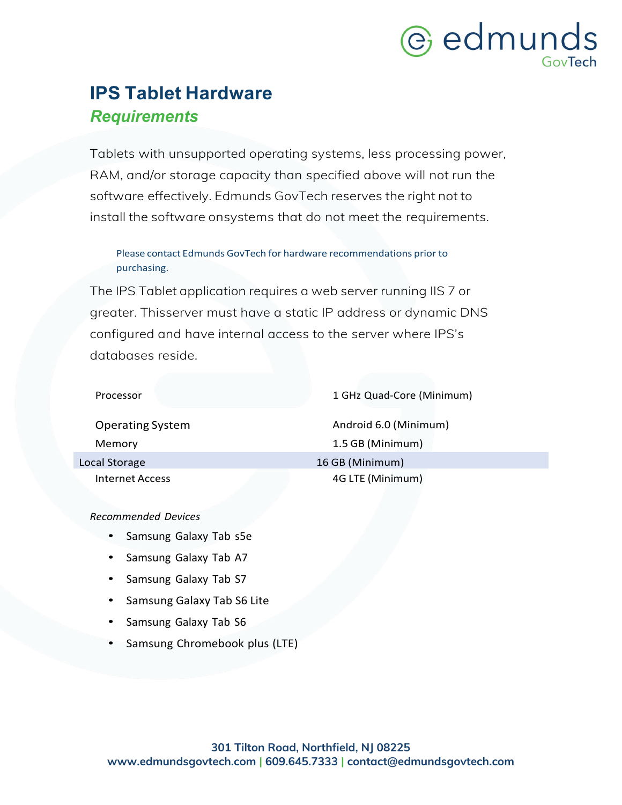## e edmunds GovTech

### **IPS Tablet Hardware** *Requirements*

Tablets with unsupported operating systems, less processing power, RAM, and/or storage capacity than specified above will not run the software effectively. Edmunds GovTech reserves the right not to install the software onsystems that do not meet the requirements.

#### Please contact Edmunds GovTech for hardware recommendations prior to purchasing.

The IPS Tablet application requires a web server running IIS 7 or greater. Thisserver must have a static IP address or dynamic DNS configured and have internal access to the server where IPS's databases reside.

| Processor               | 1 GHz Quad-Core (Minimum) |
|-------------------------|---------------------------|
| <b>Operating System</b> | Android 6.0 (Minimum)     |
| Memory                  | 1.5 GB (Minimum)          |
| Local Storage           | 16 GB (Minimum)           |
| Internet Access         | 4G LTE (Minimum)          |
|                         |                           |

*Recommended Devices*

- Samsung Galaxy Tab s5e
- Samsung Galaxy Tab A7
- Samsung Galaxy Tab S7
- Samsung Galaxy Tab S6 Lite
- Samsung Galaxy Tab S6
- Samsung Chromebook plus (LTE)